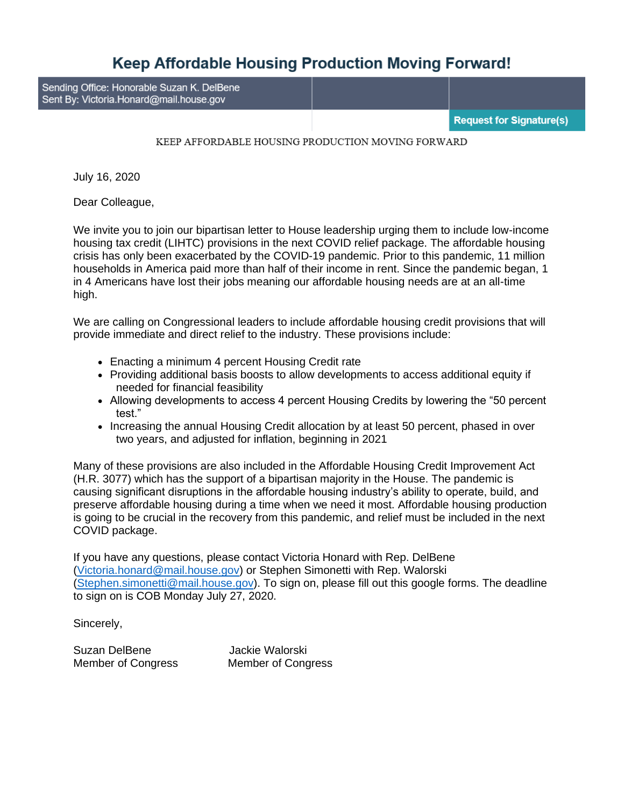## **Keep Affordable Housing Production Moving Forward!**

Sending Office: Honorable Suzan K. DelBene Sent By: Victoria.Honard@mail.house.gov

**Request for Signature(s)** 

## KEEP AFFORDABLE HOUSING PRODUCTION MOVING FORWARD

July 16, 2020

Dear Colleague,

We invite you to join our bipartisan letter to House leadership urging them to include low-income housing tax credit (LIHTC) provisions in the next COVID relief package. The affordable housing crisis has only been exacerbated by the COVID-19 pandemic. Prior to this pandemic, 11 million households in America paid more than half of their income in rent. Since the pandemic began, 1 in 4 Americans have lost their jobs meaning our affordable housing needs are at an all-time high.

We are calling on Congressional leaders to include affordable housing credit provisions that will provide immediate and direct relief to the industry. These provisions include:

- Enacting a minimum 4 percent Housing Credit rate
- Providing additional basis boosts to allow developments to access additional equity if needed for financial feasibility
- Allowing developments to access 4 percent Housing Credits by lowering the "50 percent test."
- Increasing the annual Housing Credit allocation by at least 50 percent, phased in over two years, and adjusted for inflation, beginning in 2021

Many of these provisions are also included in the Affordable Housing Credit Improvement Act (H.R. 3077) which has the support of a bipartisan majority in the House. The pandemic is causing significant disruptions in the affordable housing industry's ability to operate, build, and preserve affordable housing during a time when we need it most. Affordable housing production is going to be crucial in the recovery from this pandemic, and relief must be included in the next COVID package.

If you have any questions, please contact Victoria Honard with Rep. DelBene [\(Victoria.honard@mail.house.gov\)](mailto:Victoria.honard@mail.house.gov) or Stephen Simonetti with Rep. Walorski [\(Stephen.simonetti@mail.house.gov\)](mailto:Stephen.simonetti@mail.house.gov). To sign on, please fill out this google forms. The deadline to sign on is COB Monday July 27, 2020.

Sincerely,

Suzan DelBene Jackie Walorski

Member of Congress Member of Congress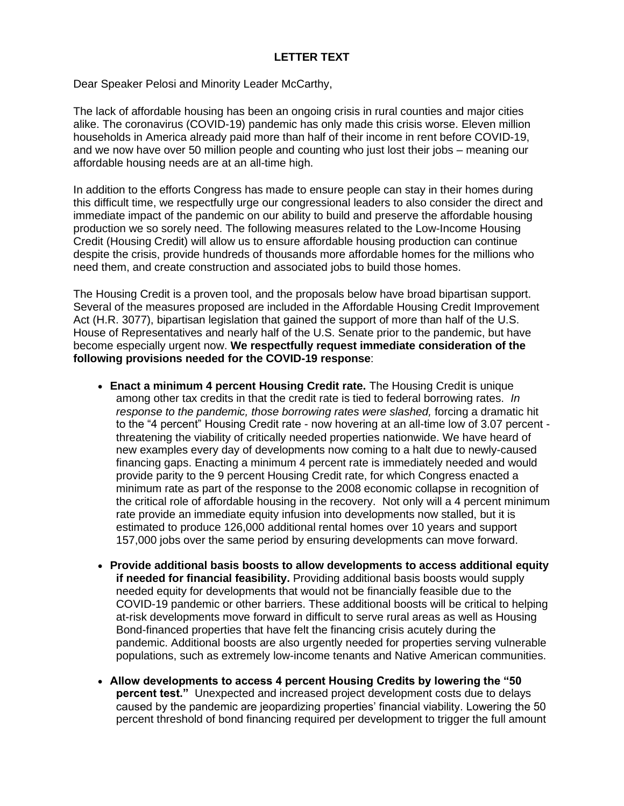## **LETTER TEXT**

Dear Speaker Pelosi and Minority Leader McCarthy,

The lack of affordable housing has been an ongoing crisis in rural counties and major cities alike. The coronavirus (COVID-19) pandemic has only made this crisis worse. Eleven million households in America already paid more than half of their income in rent before COVID-19, and we now have over 50 million people and counting who just lost their jobs – meaning our affordable housing needs are at an all-time high.

In addition to the efforts Congress has made to ensure people can stay in their homes during this difficult time, we respectfully urge our congressional leaders to also consider the direct and immediate impact of the pandemic on our ability to build and preserve the affordable housing production we so sorely need. The following measures related to the Low-Income Housing Credit (Housing Credit) will allow us to ensure affordable housing production can continue despite the crisis, provide hundreds of thousands more affordable homes for the millions who need them, and create construction and associated jobs to build those homes.

The Housing Credit is a proven tool, and the proposals below have broad bipartisan support. Several of the measures proposed are included in the Affordable Housing Credit Improvement Act (H.R. 3077), bipartisan legislation that gained the support of more than half of the U.S. House of Representatives and nearly half of the U.S. Senate prior to the pandemic, but have become especially urgent now. **We respectfully request immediate consideration of the following provisions needed for the COVID-19 response**:

- **Enact a minimum 4 percent Housing Credit rate.** The Housing Credit is unique among other tax credits in that the credit rate is tied to federal borrowing rates. *In response to the pandemic, those borrowing rates were slashed,* forcing a dramatic hit to the "4 percent" Housing Credit rate - now hovering at an all-time low of 3.07 percent threatening the viability of critically needed properties nationwide. We have heard of new examples every day of developments now coming to a halt due to newly-caused financing gaps. Enacting a minimum 4 percent rate is immediately needed and would provide parity to the 9 percent Housing Credit rate, for which Congress enacted a minimum rate as part of the response to the 2008 economic collapse in recognition of the critical role of affordable housing in the recovery. Not only will a 4 percent minimum rate provide an immediate equity infusion into developments now stalled, but it is estimated to produce 126,000 additional rental homes over 10 years and support 157,000 jobs over the same period by ensuring developments can move forward.
- **Provide additional basis boosts to allow developments to access additional equity if needed for financial feasibility.** Providing additional basis boosts would supply needed equity for developments that would not be financially feasible due to the COVID-19 pandemic or other barriers. These additional boosts will be critical to helping at-risk developments move forward in difficult to serve rural areas as well as Housing Bond-financed properties that have felt the financing crisis acutely during the pandemic. Additional boosts are also urgently needed for properties serving vulnerable populations, such as extremely low-income tenants and Native American communities.
- **Allow developments to access 4 percent Housing Credits by lowering the "50 percent test."** Unexpected and increased project development costs due to delays caused by the pandemic are jeopardizing properties' financial viability. Lowering the 50 percent threshold of bond financing required per development to trigger the full amount